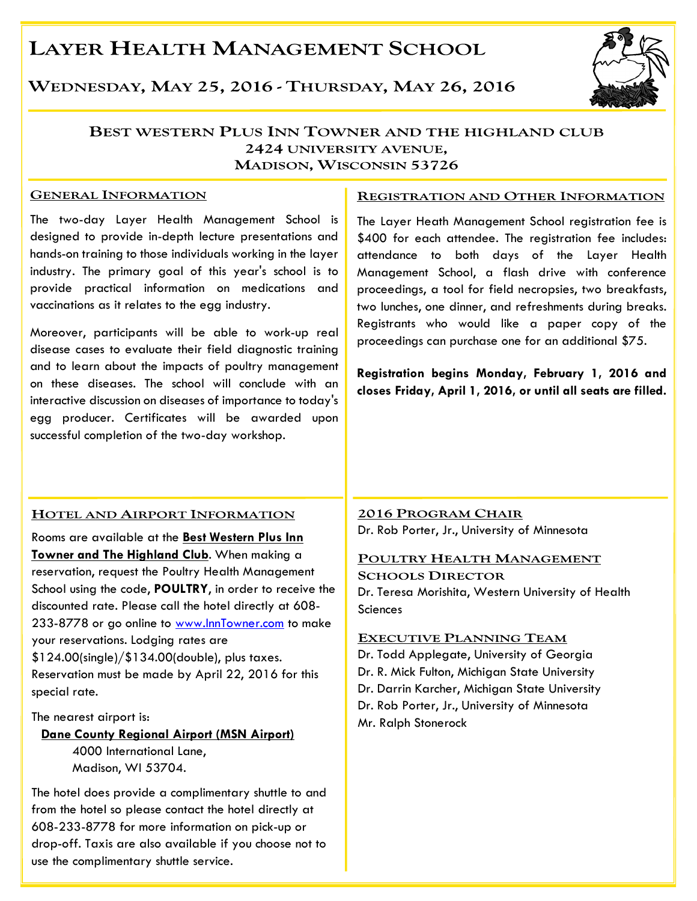# **LAYER HEALTH MANAGEMENT SCHOOL**

WEDNESDAY, MAY 25, 2016 - THURSDAY, MAY 26, 2016



### BEST WESTERN PLUS INN TOWNER AND THE HIGHLAND CLUB 2424 UNIVERSITY AVENUE. **MADISON, WISCONSIN 53726**

#### **GENERAL INFORMATION**

The two-day Layer Health Management School is designed to provide in-depth lecture presentations and hands-on training to those individuals working in the layer industry. The primary goal of this year's school is to provide practical information on medications and vaccinations as it relates to the egg industry.

Moreover, participants will be able to work-up real disease cases to evaluate their field diagnostic training and to learn about the impacts of poultry management on these diseases. The school will conclude with an interactive discussion on diseases of importance to today's egg producer. Certificates will be awarded upon successful completion of the two-day workshop.

### **REGISTRATION AND OTHER INFORMATION**

The Layer Heath Management School registration fee is \$400 for each attendee. The registration fee includes: attendance to both days of the Layer Health Management School, a flash drive with conference proceedings, a tool for field necropsies, two breakfasts, two lunches, one dinner, and refreshments during breaks. Registrants who would like a paper copy of the proceedings can purchase one for an additional \$75.

**Registration begins Monday, February 1, 2016 and closes Friday, April 1, 2016, or until all seats are filled.** 

### HOTEL AND AIRPORT INFORMATION

Rooms are available at the **Best Western Plus Inn Towner and The Highland Club**. When making a reservation, request the Poultry Health Management School using the code, **POULTRY**, in order to receive the discounted rate. Please call the hotel directly at 608- 233-8778 or go online to www.InnTowner.com to make your reservations. Lodging rates are \$124.00(single)/\$134.00(double), plus taxes. Reservation must be made by April 22, 2016 for this special rate.

The nearest airport is:

### **Dane County Regional Airport (MSN Airport)** 4000 International Lane, Madison, WI 53704.

The hotel does provide a complimentary shuttle to and from the hotel so please contact the hotel directly at 608-233-8778 for more information on pick-up or drop-off. Taxis are also available if you choose not to use the complimentary shuttle service.

2016 PROGRAM CHAIR Dr. Rob Porter, Jr., University of Minnesota

#### POULTRY HEALTH MANAGEMENT

**SCHOOLS DIRECTOR** Dr. Teresa Morishita, Western University of Health **Sciences** 

### **EXECUTIVE PLANNING TEAM**

Dr. Todd Applegate, University of Georgia Dr. R. Mick Fulton, Michigan State University Dr. Darrin Karcher, Michigan State University Dr. Rob Porter, Jr., University of Minnesota Mr. Ralph Stonerock